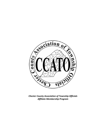

*Chester County Association of Township Officials Affiliate Membership Program*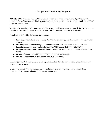## *The Affiliate Membership Program*

At the Fall 2013 Conference the CCATO membership approved revised bylaws formally authorizing the creation of an Affiliate Membership Program recognizing the organizations which support and enable CCATO programs and activities.

The Executive Board created a study team in 2012 to meet with teaming partners and define their concerns, develop a program and present it to the partners. This document is the result of that study.

Key elements defined by the study team included:

- Providing an annual budget embracing the CCATO activities supported *à la carte* with a tiered dues structure.
- Providing additional networking opportunities between CCATO municipalities and Affiliates.
- Providing a program which continually identifies Affiliates and their support to CCATO
- Providing a structure which allows Affiliates to collectively recommend programs to the Executive Board.
- Provide a forum where Affiliates can develop joint program concepts.
- Provide an opportunity to develop and publish White Papers.

Becoming a CCATO Affiliate member is as easy as completing the attached form and forwarding it to the CCATO Executive Board.

Should your organization have already committed to elements of the program we will credit those commitments to your membership in the next calendar year.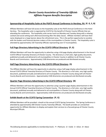

## **Sponsorship of Hospitality Suite at the PSATS Annual Conference in Hershey, PA (P, G, S, B)**

Affiliate Members will have full access to the hospitality suite at the PSATS Annual Conference in the Hotel Hershey. The hospitality suite is organized by CCATO for the benefit of Chester County Officials that are attending the conference. The hospitality suite serves lunch on Monday and Tuesday along with a relaxing cocktail and social setting each afternoon/evening after the daily classes. Affiliate members will have their name displayed on a large banner above the refreshment area. This is the perfect opportunity to socialize with the leaders and financial decision makers of the municipalities in Chester County. The hospitality suite is attended by approximately 150 Township Officials representing over 57 municipalities.

## **Full Page Directory Advertising in the CCATO Official Directory (P, G)**

Affiliate Members will have the opportunity to advertise using a full‐page display advertisement in the Annual CCATO Official Township Directory of Chester County. The directory is a full color, high quality document, published annually and delivered to all municipalities in Chester County in addition to all Chester County Boards and Commissions. Approximately 2100 directories are produced and distributed annually.

#### **Half Page Directory Advertising in the CCATO Official Directory (S)**

The Affiliate Member will have the opportunity to advertise using a half‐page display advertisement in the Annual CCATO Official Township Directory of Chester County. The directory is a full color, very high quality document, published annually and delivered to all municipalities in Chester County along with all Chester County Boards and Commissions. Approximately 2100 directories are produced and distributed annually.

#### **Quarter Page Directory Advertising in the CCATO Official Directory (B)**

Affiliate Members will have the opportunity to advertise using a quarter-page display advertisement in the Annual CCATO Official Township Directory of Chester County. The directory is a full color, very high quality document, published annually and delivered to all municipalities in Chester County along with all Chester County Boards and Commissions. Approximately 2100 directories are produced and distributed annually.

#### **Exhibit Booth at the CCATO Spring Convention (P, G)**

Affiliate Members will be provided a booth at the annual CCATO Spring Convention. The Spring Conference is attended by approximately 200 Chester County Township Officials. The booth provides an unmatched opportunity for Affiliate Members to display and explain their services to a focused group of Chester County Municipal Officials.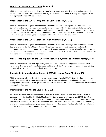### **Permission to use the CCATO logo (P, G, S, B)**

Affiliate members will be permitted to use the CCATO logo on their website, letterhead and promotional material. This provides Affiliate Members with a great branding opportunity to display their support for local municipalities located in Chester County.

#### **Attendance\* at the CCATO Spring and Fall Conventions (P, G, S, B)**

Affiliate Members will be given complimentary attendance to CCATO's Spring and Fall Conventions. The Spring Convention includes access to the vendor areas and lunch. The Fall Convention includes access to a cocktail party followed by a formal dinner. Both conventions provide an exceptional opportunity to network with local public officials from across Chester County. \*Attendance is limited to two (2) representatives for Platinum and Gold members, and one (1) representative for Silver and Basic members.

#### **Attendance\* at the CCATO North and South Breakfasts (P, G, S, B)**

Affiliate Members will be given complimentary attendance at breakfast meetings ‐ one in Southern Chester County and one in Northern Chester County. These breakfasts include a discussion/presentation by an informative guest about a relevant topic. This venue is a more intimate setting and allows focused interaction with attendees. \*Attendance is limited to two (2) representatives for Platinum and Gold members, and one (1) representative for Silver and Basic members.

#### **Affiliate logo displayed on the CCATO website with a hyperlink to affiliate's homepage (P)**

Affiliate Members will have their logo displayed on the CCATO website with a hyperlink to the affiliate's homepage. This is a fantastic way to increases traffic to an affiliate's homepage and each individual clicking on your link will be a potential client that is a decision maker.

#### **Opportunity to attend and participate at CCATO Executive Board Meetings (P)**

Affiliate Members will have the privilege of having one person attend all CCATO Executive Board Meetings. While the attendee will be a non-voting member, the Affiliate Member gains insight into the issues that are facing Municipal Officials. This insight provides the Affiliate Member the ability to tailor specific services to the municipal marketplace.

#### **Membership to the Affiliate Council (P, G, S, B)**

All Affiliate Members have the opportunity to participate in the Affiliate Council. The Affiliate Council is attended and maintained by all Affiliate Members. The Council can present ideas to the CCATO Executive Board for educational sessions at CCATO's Spring and Fall Conventions, along with potential guest speakers for the Northern and Southern Breakfasts. The Council will have direct access to CCATO's Executive Committee, providing recommendations and guidance pertaining to important issues. The Council will also provide input into the type of functions and venues that CCATO sponsors.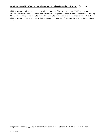## **Email sponsorship of e‐blast sent by CCATO to all registered participants (P, G, S )**

Affiliate Members will be entitled to have sole sponsorship of 2 e‐blasts sent from CCATO to all of its registered email recipients. Currently there are over 500 recipients including Township Supervisors, Township Managers, Township Secretaries, Township Treasurers, Township Solicitors and a variety of support staff. The Affiliate Members logo, a hyperlink to their homepage, and one line of customized text will be included in the email.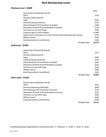# **2014 Membership Levels**

## *Platinum Level ‐ \$2000*

| Value                    |
|--------------------------|
|                          |
| \$325                    |
|                          |
| \$650                    |
| \$150                    |
| \$260                    |
| \$120                    |
| \$500                    |
| \$1,000                  |
| \$120                    |
| \$500                    |
| \$100                    |
| \$3,725<br>Package Value |
|                          |

## *Gold Level ‐ \$1500*

| Sponsorship of Hospitality Suite @              |         |
|-------------------------------------------------|---------|
| <b>PSATS</b>                                    | \$325   |
| Directory Advertising (Full                     |         |
| Page)                                           | \$650   |
| Exhibit @ Spring Conference                     | \$150   |
| Attend Spring & Fall Conventions (2 people)     | \$260   |
| Attendance @ North & South Breakfast (2 people) | \$120   |
| Permission to use CCATO logo                    | \$500   |
| Affiliate Council                               | \$500   |
| Email Sponsorship (2 email blasts)              | \$100   |
| Package Value                                   | \$2,605 |

## *Silver Level ‐ \$1250*

| Sponsorship of Hospitality Suite @              |               |         |
|-------------------------------------------------|---------------|---------|
| <b>PSATS</b>                                    |               | \$325   |
| Directory Advertising (Half Page)               |               | \$440   |
| Attend Spring & Fall Conventions (1 person)     |               | \$130   |
| Attendance @ North & South Breakfast (1 person) |               | \$120   |
| Permission to use CCATO logo                    |               | \$500   |
| Affiliate Council                               |               | \$500   |
| Email Sponsorship (2 email blasts)              |               | \$100   |
|                                                 | Package Value | \$2,115 |